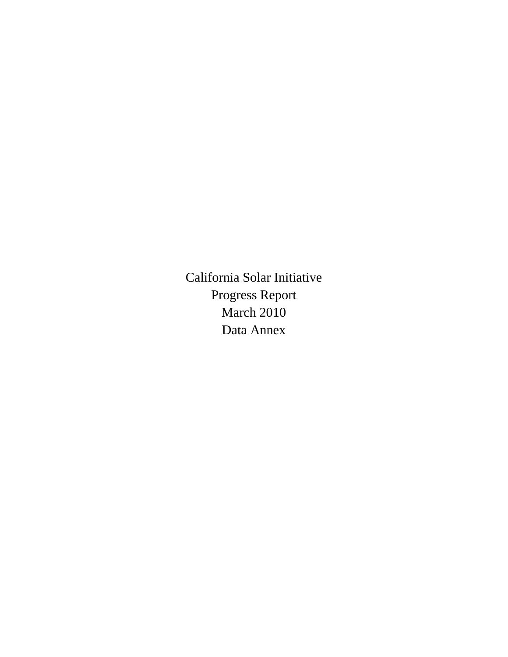California Solar Initiative Progress Report March 2010 Data Annex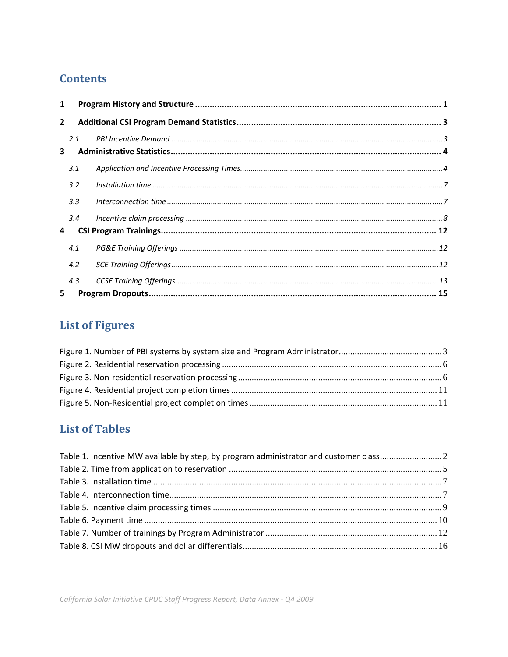# **Contents**

| 1              |     |  |
|----------------|-----|--|
| $\overline{2}$ |     |  |
| 3              | 2.1 |  |
|                | 3.1 |  |
|                | 3.2 |  |
|                | 3.3 |  |
|                | 3.4 |  |
| 4              |     |  |
|                | 4.1 |  |
|                | 4.2 |  |
|                | 4.3 |  |
| 5              |     |  |

# **List of Figures**

# **List of Tables**

| Table 1. Incentive MW available by step, by program administrator and customer class2 |  |
|---------------------------------------------------------------------------------------|--|
|                                                                                       |  |
|                                                                                       |  |
|                                                                                       |  |
|                                                                                       |  |
|                                                                                       |  |
|                                                                                       |  |
|                                                                                       |  |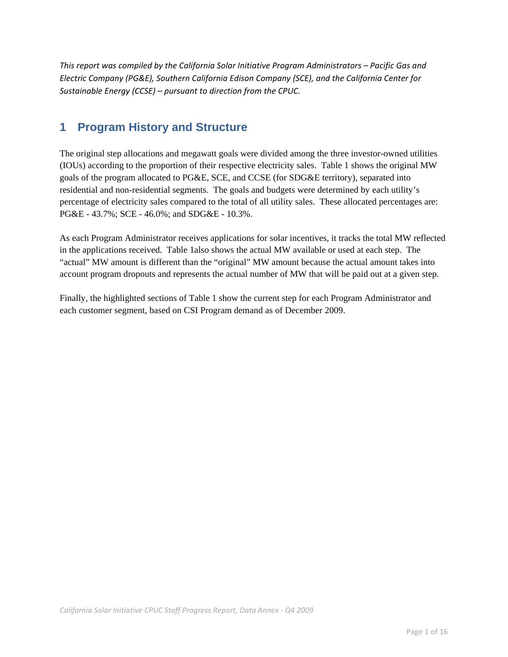*This report was compiled by the California Solar Initiative Program Administrators – Pacific Gas and Electric Company (PG&E), Southern California Edison Company (SCE), and the California Center for Sustainable Energy (CCSE) – pursuant to direction from the CPUC.*

## **1 Program History and Structure**

The original step allocations and megawatt goals were divided among the three investor-owned utilities (IOUs) according to the proportion of their respective electricity sales. Table 1 shows the original MW goals of the program allocated to PG&E, SCE, and CCSE (for SDG&E territory), separated into residential and non-residential segments. The goals and budgets were determined by each utility's percentage of electricity sales compared to the total of all utility sales. These allocated percentages are: PG&E - 43.7%; SCE - 46.0%; and SDG&E - 10.3%.

As each Program Administrator receives applications for solar incentives, it tracks the total MW reflected in the applications received. Table 1also shows the actual MW available or used at each step. The "actual" MW amount is different than the "original" MW amount because the actual amount takes into account program dropouts and represents the actual number of MW that will be paid out at a given step.

Finally, the highlighted sections of Table 1 show the current step for each Program Administrator and each customer segment, based on CSI Program demand as of December 2009.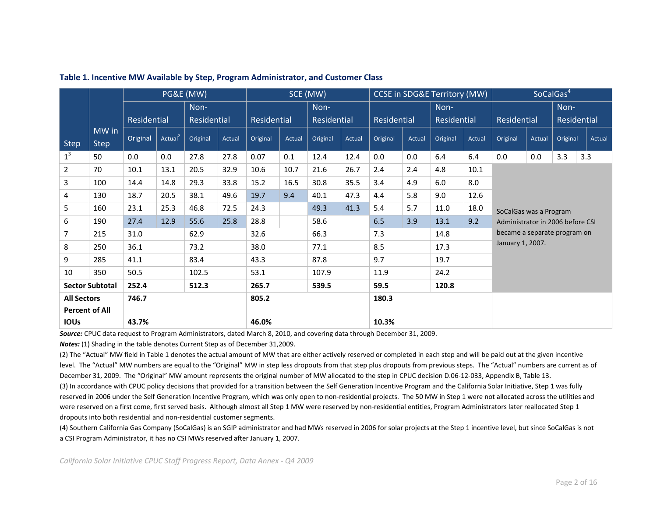|                       |                        | PG&E (MW)   |                     |             |        | SCE (MW)    |        |             |        | <b>CCSE in SDG&amp;E Territory (MW)</b> |        |                    |        | SoCalGas <sup>4</sup>            |        |             |        |
|-----------------------|------------------------|-------------|---------------------|-------------|--------|-------------|--------|-------------|--------|-----------------------------------------|--------|--------------------|--------|----------------------------------|--------|-------------|--------|
|                       |                        |             |                     | Non-        |        |             |        | Non-        |        |                                         |        | Non-               |        |                                  |        | Non-        |        |
|                       |                        | Residential |                     | Residential |        | Residential |        | Residential |        | Residential                             |        | <b>Residential</b> |        | Residential                      |        | Residential |        |
|                       | MW in                  | Original    | Actual <sup>2</sup> | Original    | Actual | Original    | Actual | Original    | Actual | Original                                | Actual | Original           | Actual | Original                         | Actual | Original    | Actual |
| <b>Step</b>           | <b>Step</b>            |             |                     |             |        |             |        |             |        |                                         |        |                    |        |                                  |        |             |        |
| $1^3$                 | 50                     | 0.0         | 0.0                 | 27.8        | 27.8   | 0.07        | 0.1    | 12.4        | 12.4   | 0.0                                     | 0.0    | 6.4                | 6.4    | 0.0                              | 0.0    | 3.3         | 3.3    |
| 2                     | 70                     | 10.1        | 13.1                | 20.5        | 32.9   | 10.6        | 10.7   | 21.6        | 26.7   | 2.4                                     | 2.4    | 4.8                | 10.1   |                                  |        |             |        |
| 3                     | 100                    | 14.4        | 14.8                | 29.3        | 33.8   | 15.2        | 16.5   | 30.8        | 35.5   | 3.4                                     | 4.9    | 6.0                | 8.0    |                                  |        |             |        |
| 4                     | 130                    | 18.7        | 20.5                | 38.1        | 49.6   | 19.7        | 9.4    | 40.1        | 47.3   | 4.4                                     | 5.8    | 9.0                | 12.6   |                                  |        |             |        |
| 5                     | 160                    | 23.1        | 25.3                | 46.8        | 72.5   | 24.3        |        | 49.3        | 41.3   | 5.4                                     | 5.7    | 11.0               | 18.0   | SoCalGas was a Program           |        |             |        |
| 6                     | 190                    | 27.4        | 12.9                | 55.6        | 25.8   | 28.8        |        | 58.6        |        | 6.5                                     | 3.9    | 13.1               | 9.2    | Administrator in 2006 before CSI |        |             |        |
| 7                     | 215                    | 31.0        |                     | 62.9        |        | 32.6        |        | 66.3        |        | 7.3                                     |        | 14.8               |        | became a separate program on     |        |             |        |
| 8                     | 250                    | 36.1        |                     | 73.2        |        | 38.0        |        | 77.1        |        | 8.5                                     |        | 17.3               |        | January 1, 2007.                 |        |             |        |
| 9                     | 285                    | 41.1        |                     | 83.4        |        | 43.3        |        | 87.8        |        | 9.7                                     |        | 19.7               |        |                                  |        |             |        |
| 10                    | 350                    | 50.5        |                     | 102.5       |        | 53.1        |        | 107.9       |        | 11.9                                    |        | 24.2               |        |                                  |        |             |        |
|                       | <b>Sector Subtotal</b> | 252.4       |                     | 512.3       |        | 265.7       |        | 539.5       |        | 59.5                                    |        | 120.8              |        |                                  |        |             |        |
| <b>All Sectors</b>    |                        | 746.7       |                     | 805.2       |        |             |        | 180.3       |        |                                         |        |                    |        |                                  |        |             |        |
| <b>Percent of All</b> |                        |             |                     |             |        |             |        |             |        |                                         |        |                    |        |                                  |        |             |        |
| <b>IOUS</b>           |                        | 43.7%       |                     | 46.0%       |        |             |        | 10.3%       |        |                                         |        |                    |        |                                  |        |             |        |

#### **Table 1. Incentive MW Available by Step, Program Administrator, and Customer Class**

*Source:* CPUC data request to Program Administrators, dated March 8, 2010, and covering data through December 31, 2009.

*Notes:* (1) Shading in the table denotes Current Step as of December 31,2009.

(2) The "Actual" MW field in Table 1 denotes the actual amount of MW that are either actively reserved or completed in each step and will be paid out at the given incentive level. The "Actual" MW numbers are equal to the "Original" MW in step less dropouts from that step plus dropouts from previous steps. The "Actual" numbers are current as of December 31, 2009. The "Original" MW amount represents the original number of MW allocated to the step in CPUC decision D.06‐12‐033, Appendix B, Table 13. (3) In accordance with CPUC policy decisions that provided for <sup>a</sup> transition between the Self Generation Incentive Program and the California Solar Initiative, Step 1 was fully reserved in 2006 under the Self Generation Incentive Program, which was only open to non-residential projects. The 50 MW in Step 1 were not allocated across the utilities and were reserved on a first come, first served basis. Although almost all Step 1 MW were reserved by non-residential entities, Program Administrators later reallocated Step 1 dropouts into both residential and non‐residential customer segments.

(4) Southern California Gas Company (SoCalGas) is an SGIP administrator and had MWs reserved in 2006 for solar projects at the Step 1 incentive level, but since SoCalGas is not a CSI Program Administrator, it has no CSI MWs reserved after January 1, 2007.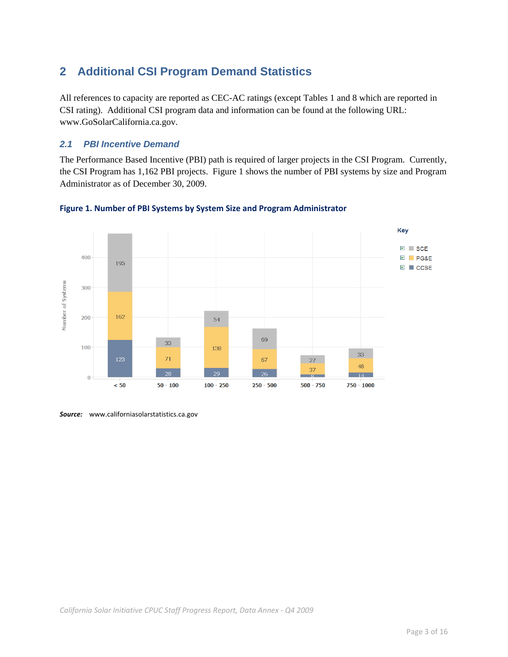# **2 Additional CSI Program Demand Statistics**

All references to capacity are reported as CEC-AC ratings (except Tables 1 and 8 which are reported in CSI rating). Additional CSI program data and information can be found at the following URL: www.GoSolarCalifornia.ca.gov.

## *2.1 PBI Incentive Demand*

The Performance Based Incentive (PBI) path is required of larger projects in the CSI Program. Currently, the CSI Program has 1,162 PBI projects. Figure 1 shows the number of PBI systems by size and Program Administrator as of December 30, 2009.



### **Figure 1. Number of PBI Systems by System Size and Program Administrator**

*Source:* www.californiasolarstatistics.ca.gov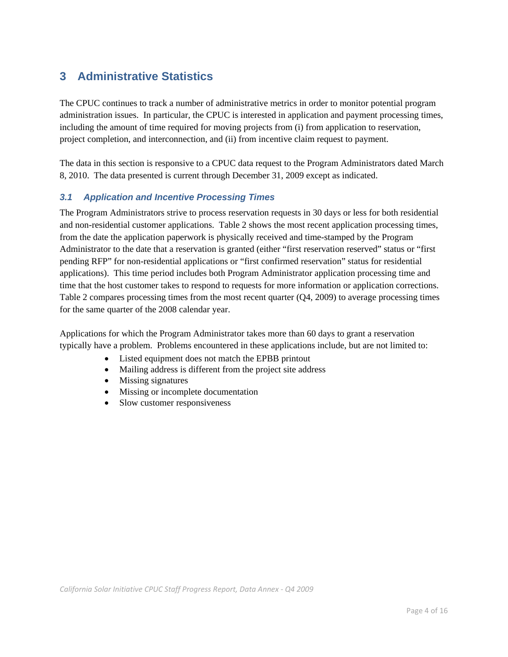# **3 Administrative Statistics**

The CPUC continues to track a number of administrative metrics in order to monitor potential program administration issues. In particular, the CPUC is interested in application and payment processing times, including the amount of time required for moving projects from (i) from application to reservation, project completion, and interconnection, and (ii) from incentive claim request to payment.

The data in this section is responsive to a CPUC data request to the Program Administrators dated March 8, 2010. The data presented is current through December 31, 2009 except as indicated.

## *3.1 Application and Incentive Processing Times*

The Program Administrators strive to process reservation requests in 30 days or less for both residential and non-residential customer applications. Table 2 shows the most recent application processing times, from the date the application paperwork is physically received and time-stamped by the Program Administrator to the date that a reservation is granted (either "first reservation reserved" status or "first pending RFP" for non-residential applications or "first confirmed reservation" status for residential applications). This time period includes both Program Administrator application processing time and time that the host customer takes to respond to requests for more information or application corrections. Table 2 compares processing times from the most recent quarter (Q4, 2009) to average processing times for the same quarter of the 2008 calendar year.

Applications for which the Program Administrator takes more than 60 days to grant a reservation typically have a problem. Problems encountered in these applications include, but are not limited to:

- Listed equipment does not match the EPBB printout
- Mailing address is different from the project site address
- Missing signatures
- Missing or incomplete documentation
- Slow customer responsiveness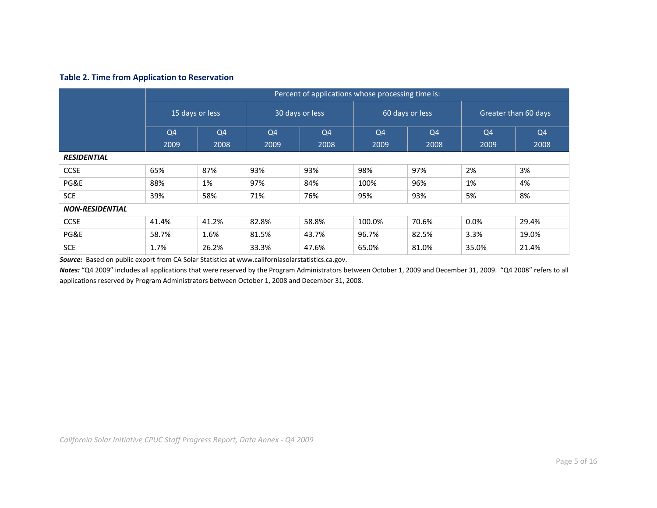#### **Table 2. Time from Application to Reservation**

|                        |                                                     | Percent of applications whose processing time is: |                                  |                 |                |                 |                      |                |  |  |  |
|------------------------|-----------------------------------------------------|---------------------------------------------------|----------------------------------|-----------------|----------------|-----------------|----------------------|----------------|--|--|--|
|                        | 15 days or less<br>Q <sub>4</sub><br>Q <sub>4</sub> |                                                   |                                  | 30 days or less |                | 60 days or less | Greater than 60 days |                |  |  |  |
|                        |                                                     |                                                   | Q <sub>4</sub><br>Q <sub>4</sub> |                 | Q <sub>4</sub> | Q <sub>4</sub>  | Q <sub>4</sub>       | Q <sub>4</sub> |  |  |  |
|                        | 2009                                                | 2008                                              | 2009                             | 2008            | 2009           | 2008            | 2009                 | 2008           |  |  |  |
| <b>RESIDENTIAL</b>     |                                                     |                                                   |                                  |                 |                |                 |                      |                |  |  |  |
| <b>CCSE</b>            | 65%                                                 | 87%                                               | 93%                              | 93%             | 98%            | 97%             | 2%                   | 3%             |  |  |  |
| PG&E                   | 88%                                                 | 1%                                                | 97%                              | 84%             | 100%           | 96%             | 1%                   | 4%             |  |  |  |
| <b>SCE</b>             | 39%                                                 | 58%                                               | 71%                              | 76%             | 95%            | 93%             | 5%                   | 8%             |  |  |  |
| <b>NON-RESIDENTIAL</b> |                                                     |                                                   |                                  |                 |                |                 |                      |                |  |  |  |
| <b>CCSE</b>            | 41.4%                                               | 41.2%                                             | 82.8%                            | 58.8%           | 100.0%         | 70.6%           | $0.0\%$              | 29.4%          |  |  |  |
| PG&E                   | 58.7%                                               | 1.6%                                              | 81.5%                            | 43.7%           | 96.7%          | 82.5%           | 3.3%                 | 19.0%          |  |  |  |
| <b>SCE</b>             | 1.7%                                                | 26.2%                                             | 33.3%                            | 47.6%           | 65.0%          | 81.0%           | 35.0%                | 21.4%          |  |  |  |

*Source:* Based on public export from CA Solar Statistics at www.californiasolarstatistics.ca.gov.

*Notes:* "Q4 2009" includes all applications that were reserved by the Program Administrators between October 1, 2009 and December 31, 2009. "Q4 2008" refers to all applications reserved by Program Administrators between October 1, 2008 and December 31, 2008.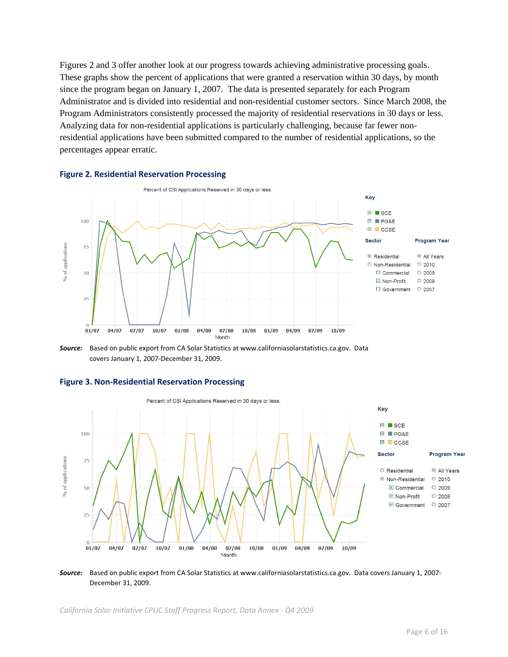Figures 2 and 3 offer another look at our progress towards achieving administrative processing goals. These graphs show the percent of applications that were granted a reservation within 30 days, by month since the program began on January 1, 2007. The data is presented separately for each Program Administrator and is divided into residential and non-residential customer sectors. Since March 2008, the Program Administrators consistently processed the majority of residential reservations in 30 days or less. Analyzing data for non-residential applications is particularly challenging, because far fewer nonresidential applications have been submitted compared to the number of residential applications, so the percentages appear erratic.



#### **Figure 2. Residential Reservation Processing**

*Source:* Based on public export from CA Solar Statistics at www.californiasolarstatistics.ca.gov. Data covers January 1, 2007‐December 31, 2009.



#### **Figure 3. Non‐Residential Reservation Processing**

*Source:* Based on public export from CA Solar Statistics at www.californiasolarstatistics.ca.gov. Data covers January 1, 2007‐ December 31, 2009.

*California Solar Initiative CPUC Staff Progress Report, Data Annex ‐ Q4 2009*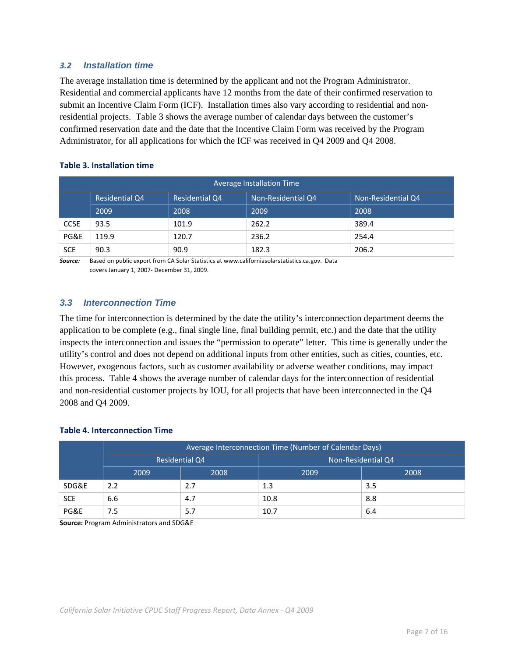## *3.2 Installation time*

The average installation time is determined by the applicant and not the Program Administrator. Residential and commercial applicants have 12 months from the date of their confirmed reservation to submit an Incentive Claim Form (ICF). Installation times also vary according to residential and nonresidential projects. Table 3 shows the average number of calendar days between the customer's confirmed reservation date and the date that the Incentive Claim Form was received by the Program Administrator, for all applications for which the ICF was received in Q4 2009 and Q4 2008.

### **Table 3. Installation time**

|             | Average Installation Time |                       |                    |                    |  |  |  |  |  |  |  |
|-------------|---------------------------|-----------------------|--------------------|--------------------|--|--|--|--|--|--|--|
|             | <b>Residential Q4</b>     | <b>Residential Q4</b> | Non-Residential Q4 | Non-Residential Q4 |  |  |  |  |  |  |  |
|             | 2009                      | 2008                  | 2009               | 2008               |  |  |  |  |  |  |  |
| <b>CCSE</b> | 93.5                      | 101.9                 | 262.2              | 389.4              |  |  |  |  |  |  |  |
| PG&E        | 119.9                     | 120.7                 | 236.2              | 254.4              |  |  |  |  |  |  |  |
| <b>SCE</b>  | 90.3                      | 90.9                  | 182.3              | 206.2              |  |  |  |  |  |  |  |

*Source:* Based on public export from CA Solar Statistics at www.californiasolarstatistics.ca.gov. Data covers January 1, 2007‐ December 31, 2009.

## *3.3 Interconnection Time*

The time for interconnection is determined by the date the utility's interconnection department deems the application to be complete (e.g., final single line, final building permit, etc.) and the date that the utility inspects the interconnection and issues the "permission to operate" letter. This time is generally under the utility's control and does not depend on additional inputs from other entities, such as cities, counties, etc. However, exogenous factors, such as customer availability or adverse weather conditions, may impact this process. Table 4 shows the average number of calendar days for the interconnection of residential and non-residential customer projects by IOU, for all projects that have been interconnected in the Q4 2008 and Q4 2009.

#### **Table 4. Interconnection Time**

|            | Average Interconnection Time (Number of Calendar Days) |                       |                    |      |  |  |  |  |  |
|------------|--------------------------------------------------------|-----------------------|--------------------|------|--|--|--|--|--|
|            |                                                        | <b>Residential Q4</b> | Non-Residential Q4 |      |  |  |  |  |  |
|            | 2009                                                   | 2008                  | 2009               | 2008 |  |  |  |  |  |
| SDG&E      | 2.2                                                    | 2.7                   | 1.3                | 3.5  |  |  |  |  |  |
| <b>SCE</b> | 6.6                                                    | 4.7                   | 10.8               | 8.8  |  |  |  |  |  |
| PG&E       | 7.5                                                    | 5.7                   | 10.7               | 6.4  |  |  |  |  |  |

**Source:** Program Administrators and SDG&E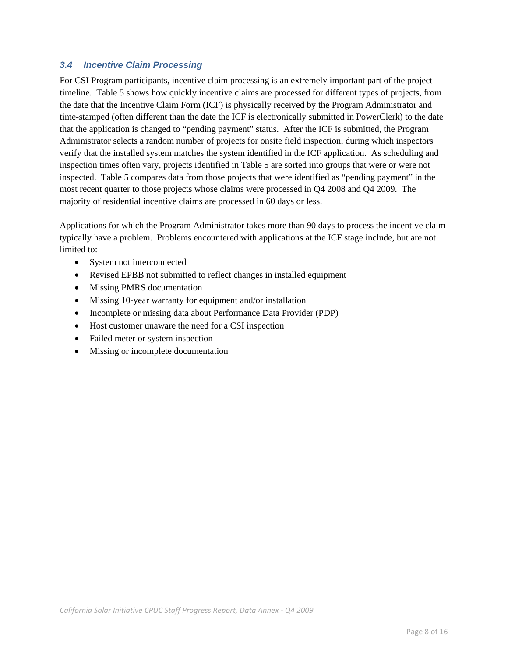## *3.4 Incentive Claim Processing*

For CSI Program participants, incentive claim processing is an extremely important part of the project timeline. Table 5 shows how quickly incentive claims are processed for different types of projects, from the date that the Incentive Claim Form (ICF) is physically received by the Program Administrator and time-stamped (often different than the date the ICF is electronically submitted in PowerClerk) to the date that the application is changed to "pending payment" status. After the ICF is submitted, the Program Administrator selects a random number of projects for onsite field inspection, during which inspectors verify that the installed system matches the system identified in the ICF application. As scheduling and inspection times often vary, projects identified in Table 5 are sorted into groups that were or were not inspected. Table 5 compares data from those projects that were identified as "pending payment" in the most recent quarter to those projects whose claims were processed in Q4 2008 and Q4 2009. The majority of residential incentive claims are processed in 60 days or less.

Applications for which the Program Administrator takes more than 90 days to process the incentive claim typically have a problem. Problems encountered with applications at the ICF stage include, but are not limited to:

- System not interconnected
- Revised EPBB not submitted to reflect changes in installed equipment
- Missing PMRS documentation
- Missing 10-year warranty for equipment and/or installation
- Incomplete or missing data about Performance Data Provider (PDP)
- Host customer unaware the need for a CSI inspection
- Failed meter or system inspection
- Missing or incomplete documentation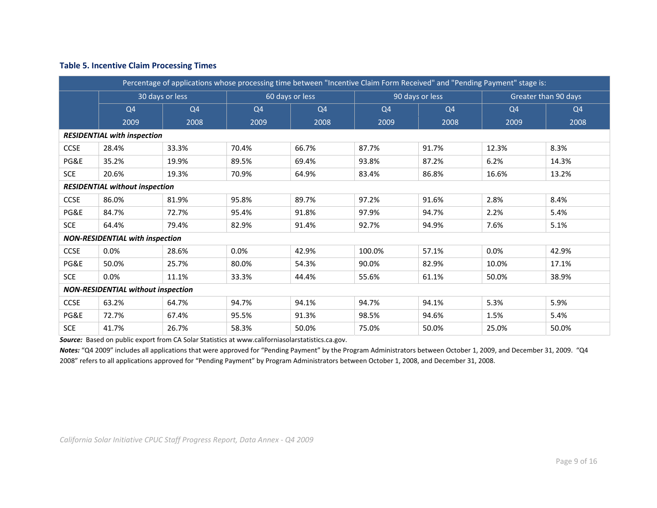| Percentage of applications whose processing time between "Incentive Claim Form Received" and "Pending Payment" stage is: |                                           |                 |                |                 |                |                 |                |                      |  |  |  |  |
|--------------------------------------------------------------------------------------------------------------------------|-------------------------------------------|-----------------|----------------|-----------------|----------------|-----------------|----------------|----------------------|--|--|--|--|
|                                                                                                                          |                                           | 30 days or less |                | 60 days or less |                | 90 days or less |                | Greater than 90 days |  |  |  |  |
|                                                                                                                          | Q <sub>4</sub><br>Q <sub>4</sub>          |                 | Q <sub>4</sub> | Q <sub>4</sub>  | Q <sub>4</sub> | Q <sub>4</sub>  | Q <sub>4</sub> | Q <sub>4</sub>       |  |  |  |  |
|                                                                                                                          | 2009                                      | 2008            | 2009           | 2008            | 2009           | 2008            | 2009           | 2008                 |  |  |  |  |
|                                                                                                                          | <b>RESIDENTIAL with inspection</b>        |                 |                |                 |                |                 |                |                      |  |  |  |  |
| <b>CCSE</b>                                                                                                              | 28.4%                                     | 33.3%           | 70.4%          | 66.7%           | 87.7%          | 91.7%           | 12.3%          | 8.3%                 |  |  |  |  |
| PG&E                                                                                                                     | 35.2%                                     | 19.9%           | 89.5%          | 69.4%           | 93.8%          | 87.2%           | 6.2%           | 14.3%                |  |  |  |  |
| <b>SCE</b>                                                                                                               | 20.6%                                     | 19.3%           | 70.9%          | 64.9%           | 83.4%          | 86.8%           | 16.6%          | 13.2%                |  |  |  |  |
| <b>RESIDENTIAL without inspection</b>                                                                                    |                                           |                 |                |                 |                |                 |                |                      |  |  |  |  |
| <b>CCSE</b>                                                                                                              | 86.0%                                     | 81.9%           | 95.8%          | 89.7%           | 97.2%          | 91.6%           | 2.8%           | 8.4%                 |  |  |  |  |
| PG&E                                                                                                                     | 84.7%                                     | 72.7%           | 95.4%          | 91.8%           | 97.9%          | 94.7%           | 2.2%           | 5.4%                 |  |  |  |  |
| <b>SCE</b>                                                                                                               | 64.4%                                     | 79.4%           | 82.9%          | 91.4%           | 92.7%          | 94.9%           | 7.6%           | 5.1%                 |  |  |  |  |
|                                                                                                                          | <b>NON-RESIDENTIAL with inspection</b>    |                 |                |                 |                |                 |                |                      |  |  |  |  |
| <b>CCSE</b>                                                                                                              | 0.0%                                      | 28.6%           | 0.0%           | 42.9%           | 100.0%         | 57.1%           | 0.0%           | 42.9%                |  |  |  |  |
| PG&E                                                                                                                     | 50.0%                                     | 25.7%           | 80.0%          | 54.3%           | 90.0%          | 82.9%           | 10.0%          | 17.1%                |  |  |  |  |
| <b>SCE</b>                                                                                                               | 0.0%                                      | 11.1%           | 33.3%          | 44.4%           | 55.6%          | 61.1%           | 50.0%          | 38.9%                |  |  |  |  |
|                                                                                                                          | <b>NON-RESIDENTIAL without inspection</b> |                 |                |                 |                |                 |                |                      |  |  |  |  |
| <b>CCSE</b>                                                                                                              | 63.2%                                     | 64.7%           | 94.7%          | 94.1%           | 94.7%          | 94.1%           | 5.3%           | 5.9%                 |  |  |  |  |
| PG&E                                                                                                                     | 72.7%                                     | 67.4%           | 95.5%          | 91.3%           | 98.5%          | 94.6%           | 1.5%           | 5.4%                 |  |  |  |  |
| <b>SCE</b>                                                                                                               | 41.7%                                     | 26.7%           | 58.3%          | 50.0%           | 75.0%          | 50.0%<br>25.0%  |                | 50.0%                |  |  |  |  |

*Source:* Based on public export from CA Solar Statistics at www.californiasolarstatistics.ca.gov.

*Notes:* "Q4 2009" includes all applications that were approved for "Pending Payment" by the Program Administrators between October 1, 2009, and December 31, 2009. "Q4 2008" refers to all applications approved for "Pending Payment" by Program Administrators between October 1, 2008, and December 31, 2008.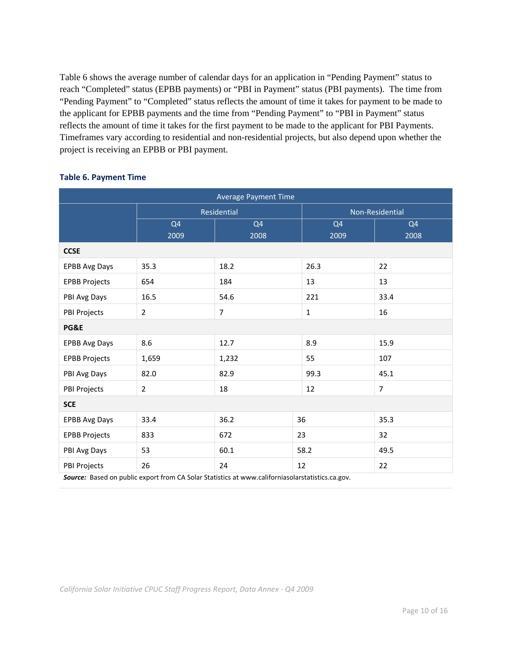Table 6 shows the average number of calendar days for an application in "Pending Payment" status to reach "Completed" status (EPBB payments) or "PBI in Payment" status (PBI payments). The time from "Pending Payment" to "Completed" status reflects the amount of time it takes for payment to be made to the applicant for EPBB payments and the time from "Pending Payment" to "PBI in Payment" status reflects the amount of time it takes for the first payment to be made to the applicant for PBI Payments. Timeframes vary according to residential and non-residential projects, but also depend upon whether the project is receiving an EPBB or PBI payment.

| <b>Average Payment Time</b> |                        |                                                                                                  |                        |                        |  |  |  |  |  |  |
|-----------------------------|------------------------|--------------------------------------------------------------------------------------------------|------------------------|------------------------|--|--|--|--|--|--|
|                             |                        | Residential                                                                                      |                        | Non-Residential        |  |  |  |  |  |  |
|                             | Q <sub>4</sub><br>2009 | Q <sub>4</sub><br>2008                                                                           | Q <sub>4</sub><br>2009 | Q <sub>4</sub><br>2008 |  |  |  |  |  |  |
| <b>CCSE</b>                 |                        |                                                                                                  |                        |                        |  |  |  |  |  |  |
| <b>EPBB Avg Days</b>        | 35.3                   | 18.2                                                                                             | 26.3                   | 22                     |  |  |  |  |  |  |
| <b>EPBB Projects</b>        | 654                    | 184                                                                                              | 13                     | 13                     |  |  |  |  |  |  |
| PBI Avg Days                | 16.5                   | 54.6                                                                                             | 221                    | 33.4                   |  |  |  |  |  |  |
| PBI Projects                | $\overline{2}$         | $\overline{7}$                                                                                   | $\mathbf{1}$           | 16                     |  |  |  |  |  |  |
| PG&E                        |                        |                                                                                                  |                        |                        |  |  |  |  |  |  |
| <b>EPBB Avg Days</b>        | 8.6                    | 12.7                                                                                             | 8.9                    | 15.9                   |  |  |  |  |  |  |
| <b>EPBB Projects</b>        | 1,659                  | 1,232                                                                                            | 55                     | 107                    |  |  |  |  |  |  |
| PBI Avg Days                | 82.0                   | 82.9                                                                                             | 99.3                   | 45.1                   |  |  |  |  |  |  |
| PBI Projects                | $\overline{2}$         | 18                                                                                               | 12                     | 7                      |  |  |  |  |  |  |
| <b>SCE</b>                  |                        |                                                                                                  |                        |                        |  |  |  |  |  |  |
| <b>EPBB Avg Days</b>        | 33.4                   | 36.2                                                                                             | 36                     | 35.3                   |  |  |  |  |  |  |
| <b>EPBB Projects</b>        | 833<br>672             |                                                                                                  | 23                     | 32                     |  |  |  |  |  |  |
| PBI Avg Days                | 53<br>60.1             |                                                                                                  | 58.2                   | 49.5                   |  |  |  |  |  |  |
| PBI Projects                | 26<br>24               |                                                                                                  | 12                     | 22                     |  |  |  |  |  |  |
|                             |                        | Source: Based on public export from CA Solar Statistics at www.californiasolarstatistics.ca.gov. |                        |                        |  |  |  |  |  |  |

## **Table 6. Payment Time**

*California Solar Initiative CPUC Staff Progress Report, Data Annex ‐ Q4 2009*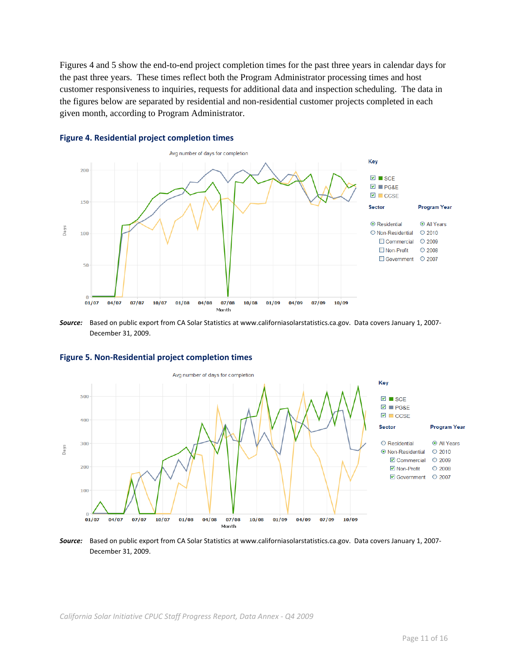Figures 4 and 5 show the end-to-end project completion times for the past three years in calendar days for the past three years. These times reflect both the Program Administrator processing times and host customer responsiveness to inquiries, requests for additional data and inspection scheduling. The data in the figures below are separated by residential and non-residential customer projects completed in each given month, according to Program Administrator.



#### **Figure 4. Residential project completion times**

*Source:* Based on public export from CA Solar Statistics at www.californiasolarstatistics.ca.gov. Data covers January 1, 2007‐ December 31, 2009.



#### **Figure 5. Non‐Residential project completion times**

*Source:* Based on public export from CA Solar Statistics at www.californiasolarstatistics.ca.gov. Data covers January 1, 2007‐ December 31, 2009.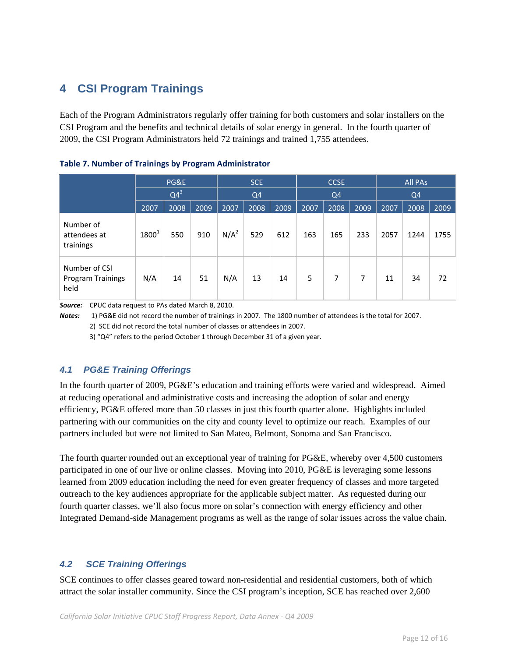# **4 CSI Program Trainings**

Each of the Program Administrators regularly offer training for both customers and solar installers on the CSI Program and the benefits and technical details of solar energy in general. In the fourth quarter of 2009, the CSI Program Administrators held 72 trainings and trained 1,755 attendees.

|                                                   | PG&E       |        |      |         | SCE<br>Q <sub>4</sub> |      |      | <b>CCSE</b><br>Q <sub>4</sub> |      |      | <b>All PAs</b><br>Q <sub>4</sub> |      |  |
|---------------------------------------------------|------------|--------|------|---------|-----------------------|------|------|-------------------------------|------|------|----------------------------------|------|--|
|                                                   |            | $Q4^3$ |      |         |                       |      |      |                               |      |      |                                  |      |  |
|                                                   | 2007       | 2008   | 2009 | 2007    | 2008                  | 2009 | 2007 | 2008                          | 2009 | 2007 | 2008                             | 2009 |  |
| Number of<br>attendees at<br>trainings            | $1800^{1}$ | 550    | 910  | $N/A^2$ | 529                   | 612  | 163  | 165                           | 233  | 2057 | 1244                             | 1755 |  |
| Number of CSI<br><b>Program Trainings</b><br>held | N/A        | 14     | 51   | N/A     | 13                    | 14   | 5    | 7                             | 7    | 11   | 34                               | 72   |  |

### **Table 7. Number of Trainings by Program Administrator**

*Source:* CPUC data request to PAs dated March 8, 2010.

*Notes:* 1) PG&E did not record the number of trainings in 2007. The 1800 number of attendees is the total for 2007. 2) SCE did not record the total number of classes or attendees in 2007.

3) "Q4" refers to the period October 1 through December 31 of a given year.

## *4.1 PG&E Training Offerings*

In the fourth quarter of 2009, PG&E's education and training efforts were varied and widespread. Aimed at reducing operational and administrative costs and increasing the adoption of solar and energy efficiency, PG&E offered more than 50 classes in just this fourth quarter alone. Highlights included partnering with our communities on the city and county level to optimize our reach. Examples of our partners included but were not limited to San Mateo, Belmont, Sonoma and San Francisco.

The fourth quarter rounded out an exceptional year of training for PG&E, whereby over 4,500 customers participated in one of our live or online classes. Moving into 2010, PG&E is leveraging some lessons learned from 2009 education including the need for even greater frequency of classes and more targeted outreach to the key audiences appropriate for the applicable subject matter. As requested during our fourth quarter classes, we'll also focus more on solar's connection with energy efficiency and other Integrated Demand-side Management programs as well as the range of solar issues across the value chain.

## *4.2 SCE Training Offerings*

SCE continues to offer classes geared toward non-residential and residential customers, both of which attract the solar installer community. Since the CSI program's inception, SCE has reached over 2,600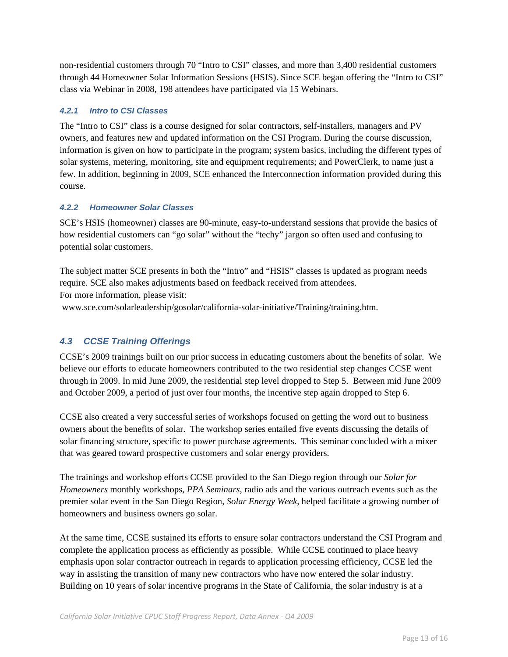non-residential customers through 70 "Intro to CSI" classes, and more than 3,400 residential customers through 44 Homeowner Solar Information Sessions (HSIS). Since SCE began offering the "Intro to CSI" class via Webinar in 2008, 198 attendees have participated via 15 Webinars.

## *4.2.1 Intro to CSI Classes*

The "Intro to CSI" class is a course designed for solar contractors, self-installers, managers and PV owners, and features new and updated information on the CSI Program. During the course discussion, information is given on how to participate in the program; system basics, including the different types of solar systems, metering, monitoring, site and equipment requirements; and PowerClerk, to name just a few. In addition, beginning in 2009, SCE enhanced the Interconnection information provided during this course.

## *4.2.2 Homeowner Solar Classes*

SCE's HSIS (homeowner) classes are 90-minute, easy-to-understand sessions that provide the basics of how residential customers can "go solar" without the "techy" jargon so often used and confusing to potential solar customers.

The subject matter SCE presents in both the "Intro" and "HSIS" classes is updated as program needs require. SCE also makes adjustments based on feedback received from attendees. For more information, please visit:

www.sce.com/solarleadership/gosolar/california-solar-initiative/Training/training.htm.

## *4.3 CCSE Training Offerings*

CCSE's 2009 trainings built on our prior success in educating customers about the benefits of solar. We believe our efforts to educate homeowners contributed to the two residential step changes CCSE went through in 2009. In mid June 2009, the residential step level dropped to Step 5. Between mid June 2009 and October 2009, a period of just over four months, the incentive step again dropped to Step 6.

CCSE also created a very successful series of workshops focused on getting the word out to business owners about the benefits of solar. The workshop series entailed five events discussing the details of solar financing structure, specific to power purchase agreements. This seminar concluded with a mixer that was geared toward prospective customers and solar energy providers.

The trainings and workshop efforts CCSE provided to the San Diego region through our *Solar for Homeowners* monthly workshops, *PPA Seminars*, radio ads and the various outreach events such as the premier solar event in the San Diego Region, *Solar Energy Week*, helped facilitate a growing number of homeowners and business owners go solar.

At the same time, CCSE sustained its efforts to ensure solar contractors understand the CSI Program and complete the application process as efficiently as possible. While CCSE continued to place heavy emphasis upon solar contractor outreach in regards to application processing efficiency, CCSE led the way in assisting the transition of many new contractors who have now entered the solar industry. Building on 10 years of solar incentive programs in the State of California, the solar industry is at a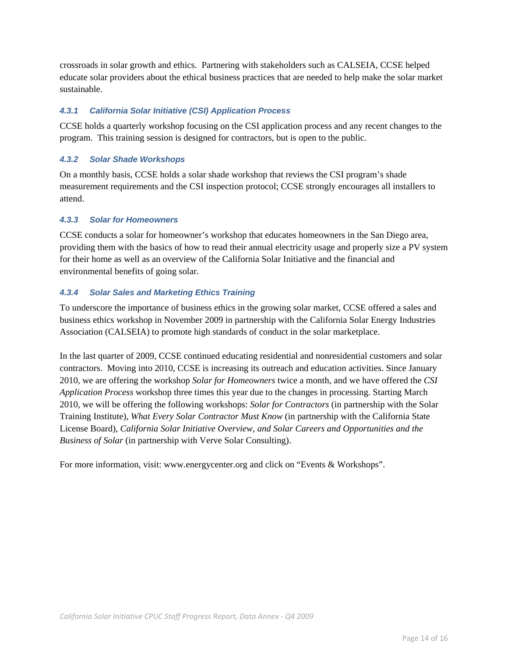crossroads in solar growth and ethics. Partnering with stakeholders such as CALSEIA, CCSE helped educate solar providers about the ethical business practices that are needed to help make the solar market sustainable.

## *4.3.1 California Solar Initiative (CSI) Application Process*

CCSE holds a quarterly workshop focusing on the CSI application process and any recent changes to the program. This training session is designed for contractors, but is open to the public.

## *4.3.2 Solar Shade Workshops*

On a monthly basis, CCSE holds a solar shade workshop that reviews the CSI program's shade measurement requirements and the CSI inspection protocol; CCSE strongly encourages all installers to attend.

### *4.3.3 Solar for Homeowners*

CCSE conducts a solar for homeowner's workshop that educates homeowners in the San Diego area, providing them with the basics of how to read their annual electricity usage and properly size a PV system for their home as well as an overview of the California Solar Initiative and the financial and environmental benefits of going solar.

### *4.3.4 Solar Sales and Marketing Ethics Training*

To underscore the importance of business ethics in the growing solar market, CCSE offered a sales and business ethics workshop in November 2009 in partnership with the California Solar Energy Industries Association (CALSEIA) to promote high standards of conduct in the solar marketplace.

In the last quarter of 2009, CCSE continued educating residential and nonresidential customers and solar contractors. Moving into 2010, CCSE is increasing its outreach and education activities. Since January 2010, we are offering the workshop *Solar for Homeowners* twice a month, and we have offered the *CSI Application Process* workshop three times this year due to the changes in processing. Starting March 2010, we will be offering the following workshops: *Solar for Contractors* (in partnership with the Solar Training Institute), *What Every Solar Contractor Must Know* (in partnership with the California State License Board), *California Solar Initiative Overview*, *and Solar Careers and Opportunities and the Business of Solar* (in partnership with Verve Solar Consulting).

For more information, visit: www.energycenter.org and click on "Events & Workshops".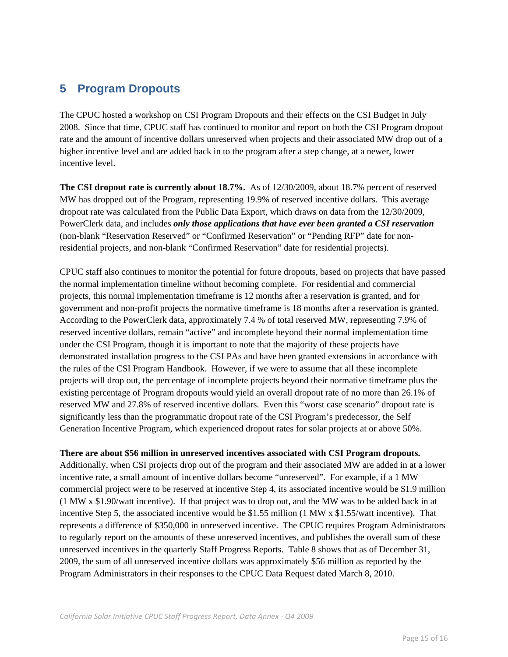## **5 Program Dropouts**

The CPUC hosted a workshop on CSI Program Dropouts and their effects on the CSI Budget in July 2008. Since that time, CPUC staff has continued to monitor and report on both the CSI Program dropout rate and the amount of incentive dollars unreserved when projects and their associated MW drop out of a higher incentive level and are added back in to the program after a step change, at a newer, lower incentive level.

**The CSI dropout rate is currently about 18.7%.** As of 12/30/2009, about 18.7% percent of reserved MW has dropped out of the Program, representing 19.9% of reserved incentive dollars. This average dropout rate was calculated from the Public Data Export, which draws on data from the 12/30/2009, PowerClerk data, and includes *only those applications that have ever been granted a CSI reservation* (non-blank "Reservation Reserved" or "Confirmed Reservation" or "Pending RFP" date for nonresidential projects, and non-blank "Confirmed Reservation" date for residential projects).

CPUC staff also continues to monitor the potential for future dropouts, based on projects that have passed the normal implementation timeline without becoming complete. For residential and commercial projects, this normal implementation timeframe is 12 months after a reservation is granted, and for government and non-profit projects the normative timeframe is 18 months after a reservation is granted. According to the PowerClerk data, approximately 7.4 % of total reserved MW, representing 7.9% of reserved incentive dollars, remain "active" and incomplete beyond their normal implementation time under the CSI Program, though it is important to note that the majority of these projects have demonstrated installation progress to the CSI PAs and have been granted extensions in accordance with the rules of the CSI Program Handbook. However, if we were to assume that all these incomplete projects will drop out, the percentage of incomplete projects beyond their normative timeframe plus the existing percentage of Program dropouts would yield an overall dropout rate of no more than 26.1% of reserved MW and 27.8% of reserved incentive dollars. Even this "worst case scenario" dropout rate is significantly less than the programmatic dropout rate of the CSI Program's predecessor, the Self Generation Incentive Program, which experienced dropout rates for solar projects at or above 50%.

### **There are about \$56 million in unreserved incentives associated with CSI Program dropouts.**

Additionally, when CSI projects drop out of the program and their associated MW are added in at a lower incentive rate, a small amount of incentive dollars become "unreserved". For example, if a 1 MW commercial project were to be reserved at incentive Step 4, its associated incentive would be \$1.9 million (1 MW x \$1.90/watt incentive). If that project was to drop out, and the MW was to be added back in at incentive Step 5, the associated incentive would be \$1.55 million (1 MW x \$1.55/watt incentive). That represents a difference of \$350,000 in unreserved incentive. The CPUC requires Program Administrators to regularly report on the amounts of these unreserved incentives, and publishes the overall sum of these unreserved incentives in the quarterly Staff Progress Reports. Table 8 shows that as of December 31, 2009, the sum of all unreserved incentive dollars was approximately \$56 million as reported by the Program Administrators in their responses to the CPUC Data Request dated March 8, 2010.